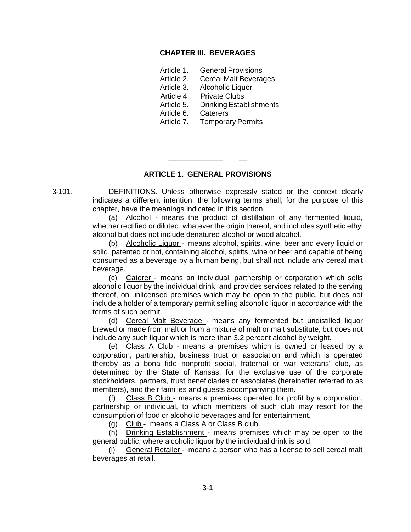#### **CHAPTER III. BEVERAGES**

- Article 1. General Provisions
- Article 2. Cereal Malt Beverages
- Article 3. Alcoholic Liquor
- Article 4. Private Clubs
- Article 5. Drinking Establishments
- Article 6. Caterers
- Article 7. Temporary Permits

# **ARTICLE 1. GENERAL PROVISIONS**

\_\_\_\_\_\_\_\_\_\_\_\_\_\_ \_\_

3-101. DEFINITIONS. Unless otherwise expressly stated or the context clearly indicates a different intention, the following terms shall, for the purpose of this chapter, have the meanings indicated in this section.

> (a) Alcohol - means the product of distillation of any fermented liquid, whether rectified or diluted, whatever the origin thereof, and includes synthetic ethyl alcohol but does not include denatured alcohol or wood alcohol.

> (b) Alcoholic Liquor - means alcohol, spirits, wine, beer and every liquid or solid, patented or not, containing alcohol, spirits, wine or beer and capable of being consumed as a beverage by a human being, but shall not include any cereal malt beverage.

> (c) Caterer - means an individual, partnership or corporation which sells alcoholic liquor by the individual drink, and provides services related to the serving thereof, on unlicensed premises which may be open to the public, but does not include a holder of a temporary permit selling alcoholic liquor in accordance with the terms of such permit.

> (d) Cereal Malt Beverage - means any fermented but undistilled liquor brewed or made from malt or from a mixture of malt or malt substitute, but does not include any such liquor which is more than 3.2 percent alcohol by weight.

> (e) Class A Club - means a premises which is owned or leased by a corporation, partnership, business trust or association and which is operated thereby as a bona fide nonprofit social, fraternal or war veterans' club, as determined by the State of Kansas, for the exclusive use of the corporate stockholders, partners, trust beneficiaries or associates (hereinafter referred to as members), and their families and guests accompanying them.

> (f) Class B Club - means a premises operated for profit by a corporation, partnership or individual, to which members of such club may resort for the consumption of food or alcoholic beverages and for entertainment.

(g) Club - means a Class A or Class B club.

(h) Drinking Establishment - means premises which may be open to the general public, where alcoholic liquor by the individual drink is sold.

General Retailer - means a person who has a license to sell cereal malt beverages at retail.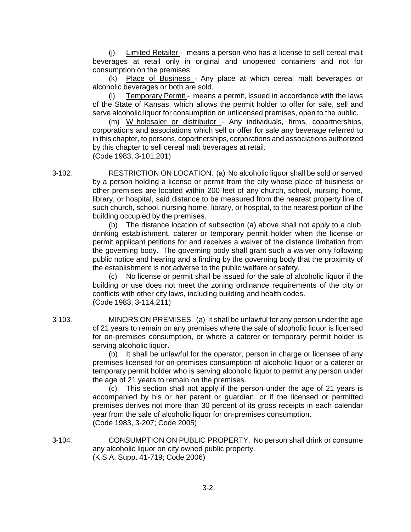(j)  $L$ imited Retailer - means a person who has a license to sell cereal malt beverages at retail only in original and unopened containers and not for consumption on the premises.

(k) Place of Business - Any place at which cereal malt beverages or alcoholic beverages or both are sold.

Temporary Permit - means a permit, issued in accordance with the laws of the State of Kansas, which allows the permit holder to offer for sale, sell and serve alcoholic liquor for consumption on unlicensed premises, open to the public.

(m) W holesaler or distributor - Any individuals, firms, copartnerships, corporations and associations which sell or offer for sale any beverage referred to in this chapter, to persons, copartnerships, corporations and associations authorized by this chapter to sell cereal malt beverages at retail. (Code 1983, 3-101,201)

3-102. RESTRICTION ON LOCATION. (a) No alcoholic liquor shall be sold or served by a person holding a license or permit from the city whose place of business or other premises are located within 200 feet of any church, school, nursing home, library, or hospital, said distance to be measured from the nearest property line of such church, school, nursing home, library, or hospital, to the nearest portion of the building occupied by the premises.

> (b) The distance location of subsection (a) above shall not apply to a club, drinking establishment, caterer or temporary permit holder when the license or permit applicant petitions for and receives a waiver of the distance limitation from the governing body. The governing body shall grant such a waiver only following public notice and hearing and a finding by the governing body that the proximity of the establishment is not adverse to the public welfare or safety.

> (c) No license or permit shall be issued for the sale of alcoholic liquor if the building or use does not meet the zoning ordinance requirements of the city or conflicts with other city laws, including building and health codes. (Code 1983, 3-114,211)

3-103. MINORS ON PREMISES. (a) It shall be unlawful for any person under the age of 21 years to remain on any premises where the sale of alcoholic liquor is licensed for on-premises consumption, or where a caterer or temporary permit holder is serving alcoholic liquor.

> (b) It shall be unlawful for the operator, person in charge or licensee of any premises licensed for on-premises consumption of alcoholic liquor or a caterer or temporary permit holder who is serving alcoholic liquor to permit any person under the age of 21 years to remain on the premises.

> (c) This section shall not apply if the person under the age of 21 years is accompanied by his or her parent or guardian, or if the licensed or permitted premises derives not more than 30 percent of its gross receipts in each calendar year from the sale of alcoholic liquor for on-premises consumption. (Code 1983, 3-207; Code 2005)

3-104. CONSUMPTION ON PUBLIC PROPERTY. No person shall drink or consume any alcoholic liquor on city owned public property. (K.S.A. Supp. 41-719; Code 2006)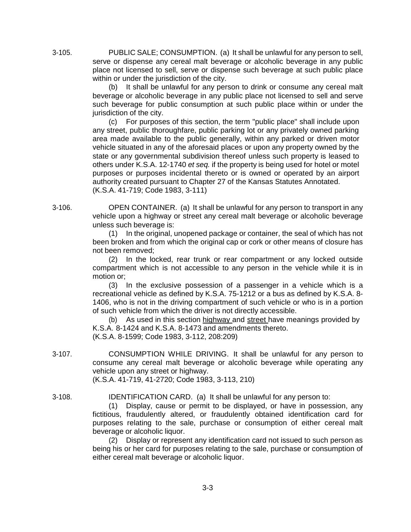3-105. PUBLIC SALE; CONSUMPTION. (a) It shall be unlawful for any person to sell, serve or dispense any cereal malt beverage or alcoholic beverage in any public place not licensed to sell, serve or dispense such beverage at such public place within or under the jurisdiction of the city.

> (b) It shall be unlawful for any person to drink or consume any cereal malt beverage or alcoholic beverage in any public place not licensed to sell and serve such beverage for public consumption at such public place within or under the jurisdiction of the city.

(c) For purposes of this section, the term "public place" shall include upon any street, public thoroughfare, public parking lot or any privately owned parking area made available to the public generally, within any parked or driven motor vehicle situated in any of the aforesaid places or upon any property owned by the state or any governmental subdivision thereof unless such property is leased to others under K.S.A. 12-1740 *et seq.* if the property is being used for hotel or motel purposes or purposes incidental thereto or is owned or operated by an airport authority created pursuant to Chapter 27 of the Kansas Statutes Annotated. (K.S.A. 41-719; Code 1983, 3-111)

3-106. OPEN CONTAINER. (a) It shall be unlawful for any person to transport in any vehicle upon a highway or street any cereal malt beverage or alcoholic beverage unless such beverage is:

> (1) In the original, unopened package or container, the seal of which has not been broken and from which the original cap or cork or other means of closure has not been removed;

> (2) In the locked, rear trunk or rear compartment or any locked outside compartment which is not accessible to any person in the vehicle while it is in motion or;

> (3) In the exclusive possession of a passenger in a vehicle which is a recreational vehicle as defined by K.S.A. 75-1212 or a bus as defined by K.S.A. 8- 1406, who is not in the driving compartment of such vehicle or who is in a portion of such vehicle from which the driver is not directly accessible.

(b) As used in this section highway and street have meanings provided by K.S.A. 8-1424 and K.S.A. 8-1473 and amendments thereto. (K.S.A. 8-1599; Code 1983, 3-112, 208:209)

3-107. CONSUMPTION WHILE DRIVING. It shall be unlawful for any person to consume any cereal malt beverage or alcoholic beverage while operating any vehicle upon any street or highway.

(K.S.A. 41-719, 41-2720; Code 1983, 3-113, 210)

3-108. IDENTIFICATION CARD. (a) It shall be unlawful for any person to:

(1) Display, cause or permit to be displayed, or have in possession, any fictitious, fraudulently altered, or fraudulently obtained identification card for purposes relating to the sale, purchase or consumption of either cereal malt beverage or alcoholic liquor.

(2) Display or represent any identification card not issued to such person as being his or her card for purposes relating to the sale, purchase or consumption of either cereal malt beverage or alcoholic liquor.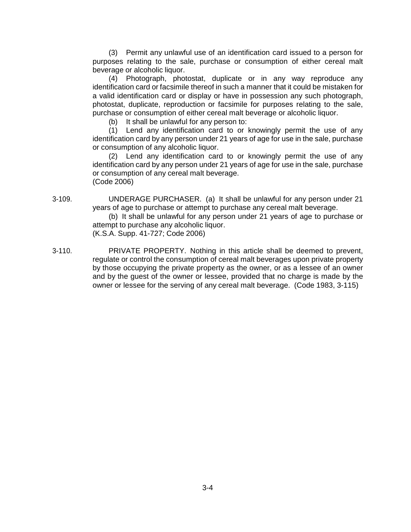(3) Permit any unlawful use of an identification card issued to a person for purposes relating to the sale, purchase or consumption of either cereal malt beverage or alcoholic liquor.

(4) Photograph, photostat, duplicate or in any way reproduce any identification card or facsimile thereof in such a manner that it could be mistaken for a valid identification card or display or have in possession any such photograph, photostat, duplicate, reproduction or facsimile for purposes relating to the sale, purchase or consumption of either cereal malt beverage or alcoholic liquor.

(b) It shall be unlawful for any person to:

(1) Lend any identification card to or knowingly permit the use of any identification card by any person under 21 years of age for use in the sale, purchase or consumption of any alcoholic liquor.

(2) Lend any identification card to or knowingly permit the use of any identification card by any person under 21 years of age for use in the sale, purchase or consumption of any cereal malt beverage. (Code 2006)

3-109. UNDERAGE PURCHASER. (a) It shall be unlawful for any person under 21 years of age to purchase or attempt to purchase any cereal malt beverage.

(b) It shall be unlawful for any person under 21 years of age to purchase or attempt to purchase any alcoholic liquor. (K.S.A. Supp. 41-727; Code 2006)

3-110. PRIVATE PROPERTY. Nothing in this article shall be deemed to prevent, regulate or control the consumption of cereal malt beverages upon private property by those occupying the private property as the owner, or as a lessee of an owner and by the guest of the owner or lessee, provided that no charge is made by the owner or lessee for the serving of any cereal malt beverage. (Code 1983, 3-115)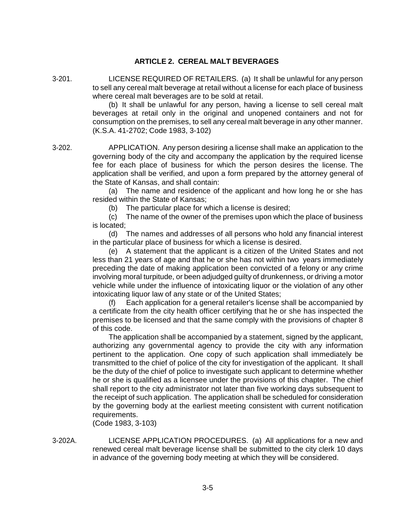## **ARTICLE 2. CEREAL MALT BEVERAGES**

3-201. LICENSE REQUIRED OF RETAILERS. (a) It shall be unlawful for any person to sell any cereal malt beverage at retail without a license for each place of business where cereal malt beverages are to be sold at retail.

(b) It shall be unlawful for any person, having a license to sell cereal malt beverages at retail only in the original and unopened containers and not for consumption on the premises, to sell any cereal malt beverage in any other manner. (K.S.A. 41-2702; Code 1983, 3-102)

3-202. APPLICATION. Any person desiring a license shall make an application to the governing body of the city and accompany the application by the required license fee for each place of business for which the person desires the license. The application shall be verified, and upon a form prepared by the attorney general of the State of Kansas, and shall contain:

> (a) The name and residence of the applicant and how long he or she has resided within the State of Kansas;

(b) The particular place for which a license is desired;

(c) The name of the owner of the premises upon which the place of business is located;

(d) The names and addresses of all persons who hold any financial interest in the particular place of business for which a license is desired.

(e) A statement that the applicant is a citizen of the United States and not less than 21 years of age and that he or she has not within two years immediately preceding the date of making application been convicted of a felony or any crime involving moral turpitude, or been adjudged guilty of drunkenness, or driving a motor vehicle while under the influence of intoxicating liquor or the violation of any other intoxicating liquor law of any state or of the United States;

(f) Each application for a general retailer's license shall be accompanied by a certificate from the city health officer certifying that he or she has inspected the premises to be licensed and that the same comply with the provisions of chapter 8 of this code.

The application shall be accompanied by a statement, signed by the applicant, authorizing any governmental agency to provide the city with any information pertinent to the application. One copy of such application shall immediately be transmitted to the chief of police of the city for investigation of the applicant. It shall be the duty of the chief of police to investigate such applicant to determine whether he or she is qualified as a licensee under the provisions of this chapter. The chief shall report to the city administrator not later than five working days subsequent to the receipt of such application. The application shall be scheduled for consideration by the governing body at the earliest meeting consistent with current notification requirements.

(Code 1983, 3-103)

3-202A. LICENSE APPLICATION PROCEDURES. (a) All applications for a new and renewed cereal malt beverage license shall be submitted to the city clerk 10 days in advance of the governing body meeting at which they will be considered.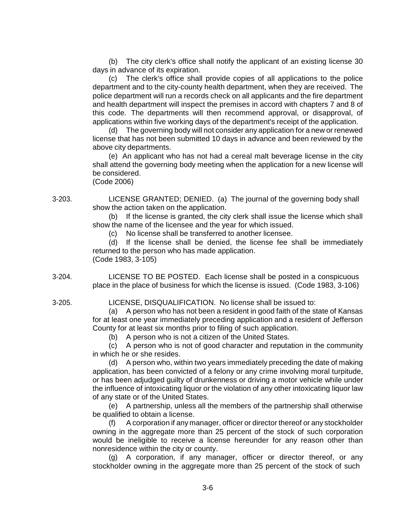(b) The city clerk's office shall notify the applicant of an existing license 30 days in advance of its expiration.

(c) The clerk's office shall provide copies of all applications to the police department and to the city-county health department, when they are received. The police department will run a records check on all applicants and the fire department and health department will inspect the premises in accord with chapters 7 and 8 of this code. The departments will then recommend approval, or disapproval, of applications within five working days of the department's receipt of the application.

(d) The governing body will not consider any application for a new or renewed license that has not been submitted 10 days in advance and been reviewed by the above city departments.

(e) An applicant who has not had a cereal malt beverage license in the city shall attend the governing body meeting when the application for a new license will be considered.

(Code 2006)

3-203. LICENSE GRANTED; DENIED. (a) The journal of the governing body shall show the action taken on the application.

> (b) If the license is granted, the city clerk shall issue the license which shall show the name of the licensee and the year for which issued.

(c) No license shall be transferred to another licensee.

(d) If the license shall be denied, the license fee shall be immediately returned to the person who has made application. (Code 1983, 3-105)

3-204. LICENSE TO BE POSTED. Each license shall be posted in a conspicuous place in the place of business for which the license is issued. (Code 1983, 3-106)

3-205. LICENSE, DISQUALIFICATION. No license shall be issued to:

(a) A person who has not been a resident in good faith of the state of Kansas for at least one year immediately preceding application and a resident of Jefferson County for at least six months prior to filing of such application.

(b) A person who is not a citizen of the United States.

(c) A person who is not of good character and reputation in the community in which he or she resides.

(d) A person who, within two years immediately preceding the date of making application, has been convicted of a felony or any crime involving moral turpitude, or has been adjudged guilty of drunkenness or driving a motor vehicle while under the influence of intoxicating liquor or the violation of any other intoxicating liquor law of any state or of the United States.

(e) A partnership, unless all the members of the partnership shall otherwise be qualified to obtain a license.

(f) A corporation if any manager, officer or director thereof or any stockholder owning in the aggregate more than 25 percent of the stock of such corporation would be ineligible to receive a license hereunder for any reason other than nonresidence within the city or county.

(g) A corporation, if any manager, officer or director thereof, or any stockholder owning in the aggregate more than 25 percent of the stock of such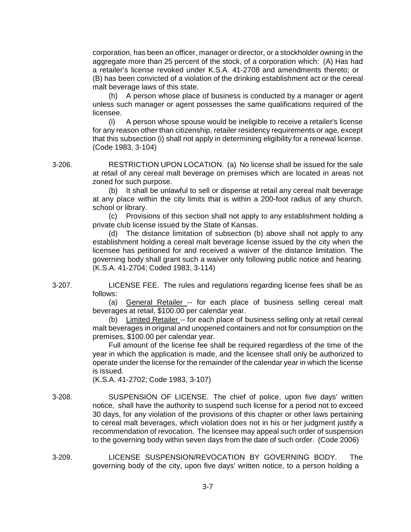corporation, has been an officer, manager or director, or a stockholder owning in the aggregate more than 25 percent of the stock, of a corporation which: (A) Has had a retailer's license revoked under K.S.A. 41-2708 and amendments thereto; or (B) has been convicted of a violation of the drinking establishment act or the cereal malt beverage laws of this state.

(h) A person whose place of business is conducted by a manager or agent unless such manager or agent possesses the same qualifications required of the licensee.

(i) A person whose spouse would be ineligible to receive a retailer's license for any reason other than citizenship, retailer residency requirements or age, except that this subsection (i) shall not apply in determining eligibility for a renewal license. (Code 1983, 3-104)

3-206. RESTRICTION UPON LOCATION. (a) No license shall be issued for the sale at retail of any cereal malt beverage on premises which are located in areas not zoned for such purpose.

(b) It shall be unlawful to sell or dispense at retail any cereal malt beverage at any place within the city limits that is within a 200-foot radius of any church, school or library.

(c) Provisions of this section shall not apply to any establishment holding a private club license issued by the State of Kansas.

(d) The distance limitation of subsection (b) above shall not apply to any establishment holding a cereal malt beverage license issued by the city when the licensee has petitioned for and received a waiver of the distance limitation. The governing body shall grant such a waiver only following public notice and hearing. (K.S.A. 41-2704; Coded 1983, 3-114)

3-207. LICENSE FEE. The rules and regulations regarding license fees shall be as follows:

(a) General Retailer -- for each place of business selling cereal malt beverages at retail, \$100.00 per calendar year.

(b) Limited Retailer -- for each place of business selling only at retail cereal malt beverages in original and unopened containers and not for consumption on the premises, \$100.00 per calendar year.

Full amount of the license fee shall be required regardless of the time of the year in which the application is made, and the licensee shall only be authorized to operate under the license for the remainder of the calendar year in which the license is issued.

(K.S.A. 41-2702; Code 1983, 3-107)

- 3-208. SUSPENSION OF LICENSE. The chief of police, upon five days' written notice, shall have the authority to suspend such license for a period not to exceed 30 days, for any violation of the provisions of this chapter or other laws pertaining to cereal malt beverages, which violation does not in his or her judgment justify a recommendation of revocation. The licensee may appeal such order of suspension to the governing body within seven days from the date of such order. (Code 2006)
- 3-209. LICENSE SUSPENSION/REVOCATION BY GOVERNING BODY. The governing body of the city, upon five days' written notice, to a person holding a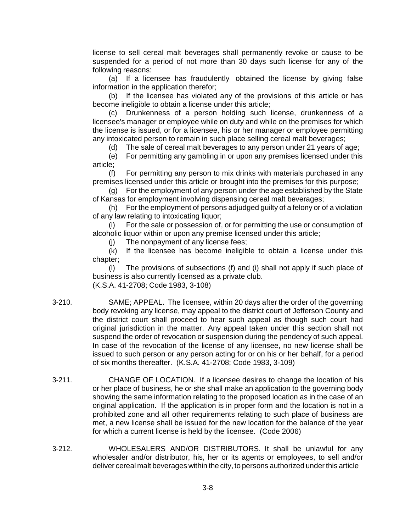license to sell cereal malt beverages shall permanently revoke or cause to be suspended for a period of not more than 30 days such license for any of the following reasons:

(a) If a licensee has fraudulently obtained the license by giving false information in the application therefor;

(b) If the licensee has violated any of the provisions of this article or has become ineligible to obtain a license under this article;

(c) Drunkenness of a person holding such license, drunkenness of a licensee's manager or employee while on duty and while on the premises for which the license is issued, or for a licensee, his or her manager or employee permitting any intoxicated person to remain in such place selling cereal malt beverages;

(d) The sale of cereal malt beverages to any person under 21 years of age;

(e) For permitting any gambling in or upon any premises licensed under this article;

(f) For permitting any person to mix drinks with materials purchased in any premises licensed under this article or brought into the premises for this purpose;

(g) For the employment of any person under the age established by the State of Kansas for employment involving dispensing cereal malt beverages;

(h) For the employment of persons adjudged guilty of a felony or of a violation of any law relating to intoxicating liquor;

(i) For the sale or possession of, or for permitting the use or consumption of alcoholic liquor within or upon any premise licensed under this article;

(j) The nonpayment of any license fees;

(k) If the licensee has become ineligible to obtain a license under this chapter;

(l) The provisions of subsections (f) and (i) shall not apply if such place of business is also currently licensed as a private club. (K.S.A. 41-2708; Code 1983, 3-108)

- 3-210. SAME; APPEAL. The licensee, within 20 days after the order of the governing body revoking any license, may appeal to the district court of Jefferson County and the district court shall proceed to hear such appeal as though such court had original jurisdiction in the matter. Any appeal taken under this section shall not suspend the order of revocation or suspension during the pendency of such appeal. In case of the revocation of the license of any licensee, no new license shall be issued to such person or any person acting for or on his or her behalf, for a period of six months thereafter. (K.S.A. 41-2708; Code 1983, 3-109)
- 3-211. CHANGE OF LOCATION. If a licensee desires to change the location of his or her place of business, he or she shall make an application to the governing body showing the same information relating to the proposed location as in the case of an original application. If the application is in proper form and the location is not in a prohibited zone and all other requirements relating to such place of business are met, a new license shall be issued for the new location for the balance of the year for which a current license is held by the licensee. (Code 2006)
- 3-212. WHOLESALERS AND/OR DISTRIBUTORS. It shall be unlawful for any wholesaler and/or distributor, his, her or its agents or employees, to sell and/or deliver cereal malt beverages within the city, to persons authorized under this article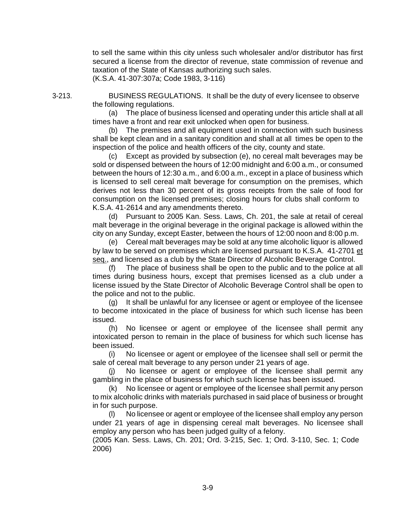to sell the same within this city unless such wholesaler and/or distributor has first secured a license from the director of revenue, state commission of revenue and taxation of the State of Kansas authorizing such sales. (K.S.A. 41-307:307a; Code 1983, 3-116)

3-213. BUSINESS REGULATIONS. It shall be the duty of every licensee to observe the following regulations.

> (a) The place of business licensed and operating under this article shall at all times have a front and rear exit unlocked when open for business.

> (b) The premises and all equipment used in connection with such business shall be kept clean and in a sanitary condition and shall at all times be open to the inspection of the police and health officers of the city, county and state.

> (c) Except as provided by subsection (e), no cereal malt beverages may be sold or dispensed between the hours of 12:00 midnight and 6:00 a.m., or consumed between the hours of 12:30 a.m., and 6:00 a.m., except in a place of business which is licensed to sell cereal malt beverage for consumption on the premises, which derives not less than 30 percent of its gross receipts from the sale of food for consumption on the licensed premises; closing hours for clubs shall conform to K.S.A. 41-2614 and any amendments thereto.

> (d) Pursuant to 2005 Kan. Sess. Laws, Ch. 201, the sale at retail of cereal malt beverage in the original beverage in the original package is allowed within the city on any Sunday, except Easter, between the hours of 12:00 noon and 8:00 p.m.

> (e) Cereal malt beverages may be sold at any time alcoholic liquor is allowed by law to be served on premises which are licensed pursuant to K.S.A. 41-2701 et seq., and licensed as a club by the State Director of Alcoholic Beverage Control.

> (f) The place of business shall be open to the public and to the police at all times during business hours, except that premises licensed as a club under a license issued by the State Director of Alcoholic Beverage Control shall be open to the police and not to the public.

> (g) It shall be unlawful for any licensee or agent or employee of the licensee to become intoxicated in the place of business for which such license has been issued.

> (h) No licensee or agent or employee of the licensee shall permit any intoxicated person to remain in the place of business for which such license has been issued.

> (i) No licensee or agent or employee of the licensee shall sell or permit the sale of cereal malt beverage to any person under 21 years of age.

> (j) No licensee or agent or employee of the licensee shall permit any gambling in the place of business for which such license has been issued.

> (k) No licensee or agent or employee of the licensee shall permit any person to mix alcoholic drinks with materials purchased in said place of business or brought in for such purpose.

> (l) No licensee or agent or employee of the licensee shall employ any person under 21 years of age in dispensing cereal malt beverages. No licensee shall employ any person who has been judged guilty of a felony.

(2005 Kan. Sess. Laws, Ch. 201; Ord. 3-215, Sec. 1; Ord. 3-110, Sec. 1; Code 2006)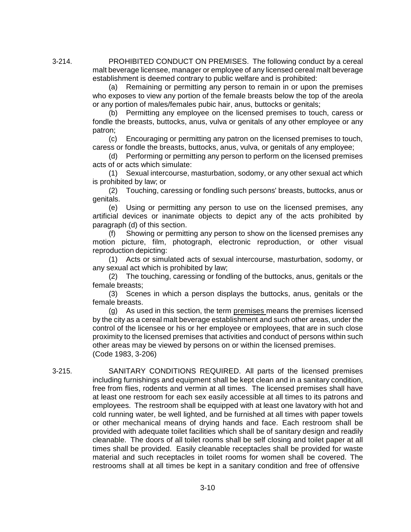3-214. PROHIBITED CONDUCT ON PREMISES. The following conduct by a cereal malt beverage licensee, manager or employee of any licensed cereal malt beverage establishment is deemed contrary to public welfare and is prohibited:

> (a) Remaining or permitting any person to remain in or upon the premises who exposes to view any portion of the female breasts below the top of the areola or any portion of males/females pubic hair, anus, buttocks or genitals;

> (b) Permitting any employee on the licensed premises to touch, caress or fondle the breasts, buttocks, anus, vulva or genitals of any other employee or any patron;

> (c) Encouraging or permitting any patron on the licensed premises to touch, caress or fondle the breasts, buttocks, anus, vulva, or genitals of any employee;

> (d) Performing or permitting any person to perform on the licensed premises acts of or acts which simulate:

> (1) Sexual intercourse, masturbation, sodomy, or any other sexual act which is prohibited by law; or

> (2) Touching, caressing or fondling such persons' breasts, buttocks, anus or genitals.

> (e) Using or permitting any person to use on the licensed premises, any artificial devices or inanimate objects to depict any of the acts prohibited by paragraph (d) of this section.

> (f) Showing or permitting any person to show on the licensed premises any motion picture, film, photograph, electronic reproduction, or other visual reproduction depicting:

> (1) Acts or simulated acts of sexual intercourse, masturbation, sodomy, or any sexual act which is prohibited by law;

> (2) The touching, caressing or fondling of the buttocks, anus, genitals or the female breasts;

> (3) Scenes in which a person displays the buttocks, anus, genitals or the female breasts.

> (g) As used in this section, the term premises means the premises licensed by the city as a cereal malt beverage establishment and such other areas, under the control of the licensee or his or her employee or employees, that are in such close proximity to the licensed premises that activities and conduct of persons within such other areas may be viewed by persons on or within the licensed premises. (Code 1983, 3-206)

3-215. SANITARY CONDITIONS REQUIRED. All parts of the licensed premises including furnishings and equipment shall be kept clean and in a sanitary condition, free from flies, rodents and vermin at all times. The licensed premises shall have at least one restroom for each sex easily accessible at all times to its patrons and employees. The restroom shall be equipped with at least one lavatory with hot and cold running water, be well lighted, and be furnished at all times with paper towels or other mechanical means of drying hands and face. Each restroom shall be provided with adequate toilet facilities which shall be of sanitary design and readily cleanable. The doors of all toilet rooms shall be self closing and toilet paper at all times shall be provided. Easily cleanable receptacles shall be provided for waste material and such receptacles in toilet rooms for women shall be covered. The restrooms shall at all times be kept in a sanitary condition and free of offensive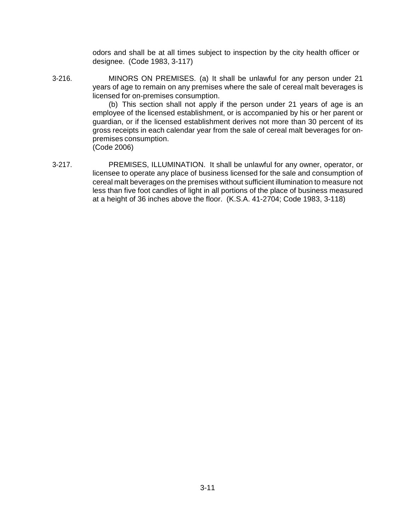odors and shall be at all times subject to inspection by the city health officer or designee. (Code 1983, 3-117)

3-216. MINORS ON PREMISES. (a) It shall be unlawful for any person under 21 years of age to remain on any premises where the sale of cereal malt beverages is licensed for on-premises consumption.

(b) This section shall not apply if the person under 21 years of age is an employee of the licensed establishment, or is accompanied by his or her parent or guardian, or if the licensed establishment derives not more than 30 percent of its gross receipts in each calendar year from the sale of cereal malt beverages for onpremises consumption. (Code 2006)

3-217. PREMISES, ILLUMINATION. It shall be unlawful for any owner, operator, or licensee to operate any place of business licensed for the sale and consumption of cereal malt beverages on the premises without sufficient illumination to measure not less than five foot candles of light in all portions of the place of business measured at a height of 36 inches above the floor. (K.S.A. 41-2704; Code 1983, 3-118)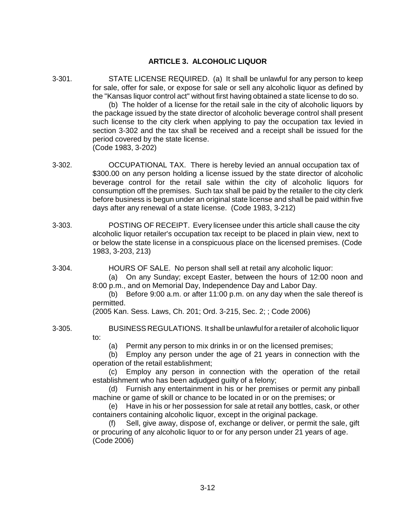# **ARTICLE 3. ALCOHOLIC LIQUOR**

3-301. STATE LICENSE REQUIRED. (a) It shall be unlawful for any person to keep for sale, offer for sale, or expose for sale or sell any alcoholic liquor as defined by the "Kansas liquor control act" without first having obtained a state license to do so.

(b) The holder of a license for the retail sale in the city of alcoholic liquors by the package issued by the state director of alcoholic beverage control shall present such license to the city clerk when applying to pay the occupation tax levied in section 3-302 and the tax shall be received and a receipt shall be issued for the period covered by the state license. (Code 1983, 3-202)

- 3-302. OCCUPATIONAL TAX. There is hereby levied an annual occupation tax of \$300.00 on any person holding a license issued by the state director of alcoholic beverage control for the retail sale within the city of alcoholic liquors for consumption off the premises. Such tax shall be paid by the retailer to the city clerk before business is begun under an original state license and shall be paid within five days after any renewal of a state license. (Code 1983, 3-212)
- 3-303. POSTING OF RECEIPT. Every licensee under this article shall cause the city alcoholic liquor retailer's occupation tax receipt to be placed in plain view, next to or below the state license in a conspicuous place on the licensed premises. (Code 1983, 3-203, 213)
- 3-304. HOURS OF SALE. No person shall sell at retail any alcoholic liquor:

(a) On any Sunday; except Easter, between the hours of 12:00 noon and 8:00 p.m., and on Memorial Day, Independence Day and Labor Day.

(b) Before 9:00 a.m. or after 11:00 p.m. on any day when the sale thereof is permitted.

(2005 Kan. Sess. Laws, Ch. 201; Ord. 3-215, Sec. 2; ; Code 2006)

- 
- 3-305. BUSINESS REGULATIONS. It shall be unlawful for a retailer of alcoholic liquor to:

(a) Permit any person to mix drinks in or on the licensed premises;

(b) Employ any person under the age of 21 years in connection with the operation of the retail establishment;

(c) Employ any person in connection with the operation of the retail establishment who has been adjudged guilty of a felony;

(d) Furnish any entertainment in his or her premises or permit any pinball machine or game of skill or chance to be located in or on the premises; or

(e) Have in his or her possession for sale at retail any bottles, cask, or other containers containing alcoholic liquor, except in the original package.

Sell, give away, dispose of, exchange or deliver, or permit the sale, gift or procuring of any alcoholic liquor to or for any person under 21 years of age. (Code 2006)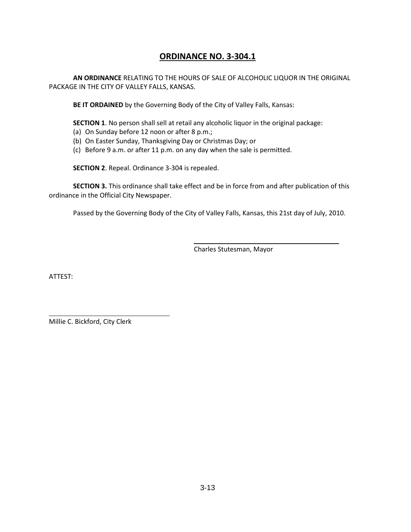# **ORDINANCE NO. 3-304.1**

**AN ORDINANCE** RELATING TO THE HOURS OF SALE OF ALCOHOLIC LIQUOR IN THE ORIGINAL PACKAGE IN THE CITY OF VALLEY FALLS, KANSAS.

**BE IT ORDAINED** by the Governing Body of the City of Valley Falls, Kansas:

**SECTION 1**. No person shall sell at retail any alcoholic liquor in the original package:

- (a) On Sunday before 12 noon or after 8 p.m.;
- (b) On Easter Sunday, Thanksgiving Day or Christmas Day; or
- (c) Before 9 a.m. or after 11 p.m. on any day when the sale is permitted.

**SECTION 2**. Repeal. Ordinance 3-304 is repealed.

**SECTION 3.** This ordinance shall take effect and be in force from and after publication of this ordinance in the Official City Newspaper.

Passed by the Governing Body of the City of Valley Falls, Kansas, this 21st day of July, 2010.

Charles Stutesman, Mayor

ATTEST:

Millie C. Bickford, City Clerk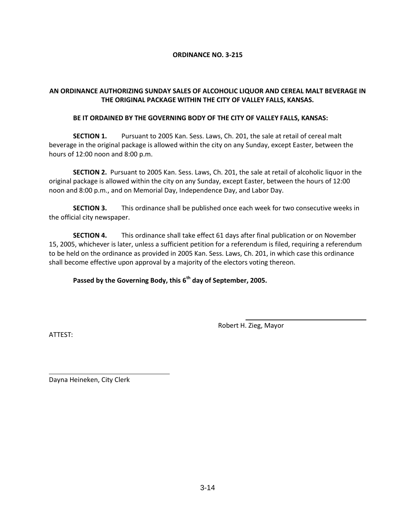#### **ORDINANCE NO. 3-215**

## **AN ORDINANCE AUTHORIZING SUNDAY SALES OF ALCOHOLIC LIQUOR AND CEREAL MALT BEVERAGE IN THE ORIGINAL PACKAGE WITHIN THE CITY OF VALLEY FALLS, KANSAS.**

#### **BE IT ORDAINED BY THE GOVERNING BODY OF THE CITY OF VALLEY FALLS, KANSAS:**

**SECTION 1.** Pursuant to 2005 Kan. Sess. Laws, Ch. 201, the sale at retail of cereal malt beverage in the original package is allowed within the city on any Sunday, except Easter, between the hours of 12:00 noon and 8:00 p.m.

**SECTION 2.** Pursuant to 2005 Kan. Sess. Laws, Ch. 201, the sale at retail of alcoholic liquor in the original package is allowed within the city on any Sunday, except Easter, between the hours of 12:00 noon and 8:00 p.m., and on Memorial Day, Independence Day, and Labor Day.

**SECTION 3.** This ordinance shall be published once each week for two consecutive weeks in the official city newspaper.

**SECTION 4.** This ordinance shall take effect 61 days after final publication or on November 15, 2005, whichever is later, unless a sufficient petition for a referendum is filed, requiring a referendum to be held on the ordinance as provided in 2005 Kan. Sess. Laws, Ch. 201, in which case this ordinance shall become effective upon approval by a majority of the electors voting thereon.

**Passed by the Governing Body, this 6th day of September, 2005.**

Robert H. Zieg, Mayor

ATTEST:

Dayna Heineken, City Clerk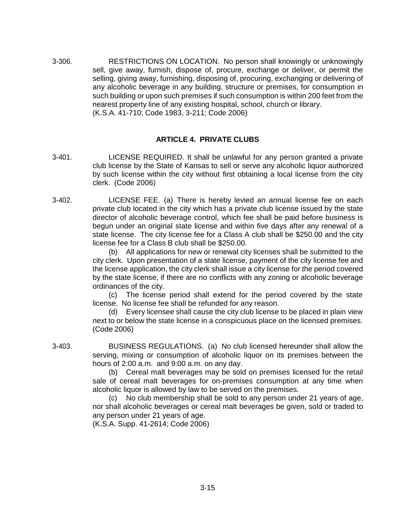3-306. RESTRICTIONS ON LOCATION. No person shall knowingly or unknowingly sell, give away, furnish, dispose of, procure, exchange or deliver, or permit the selling, giving away, furnishing, disposing of, procuring, exchanging or delivering of any alcoholic beverage in any building, structure or premises, for consumption in such building or upon such premises if such consumption is within 200 feet from the nearest property line of any existing hospital, school, church or library. (K.S.A. 41-710; Code 1983, 3-211; Code 2006)

## **ARTICLE 4. PRIVATE CLUBS**

- 3-401. LICENSE REQUIRED. It shall be unlawful for any person granted a private club license by the State of Kansas to sell or serve any alcoholic liquor authorized by such license within the city without first obtaining a local license from the city clerk. (Code 2006)
- 3-402. LICENSE FEE. (a) There is hereby levied an annual license fee on each private club located in the city which has a private club license issued by the state director of alcoholic beverage control, which fee shall be paid before business is begun under an original state license and within five days after any renewal of a state license. The city license fee for a Class A club shall be \$250.00 and the city license fee for a Class B club shall be \$250.00.

(b) All applications for new or renewal city licenses shall be submitted to the city clerk. Upon presentation of a state license, payment of the city license fee and the license application, the city clerk shall issue a city license for the period covered by the state license, if there are no conflicts with any zoning or alcoholic beverage ordinances of the city.

(c) The license period shall extend for the period covered by the state license. No license fee shall be refunded for any reason.

(d) Every licensee shall cause the city club license to be placed in plain view next to or below the state license in a conspicuous place on the licensed premises. (Code 2006)

3-403. BUSINESS REGULATIONS. (a) No club licensed hereunder shall allow the serving, mixing or consumption of alcoholic liquor on its premises between the hours of 2:00 a.m. and 9:00 a.m. on any day.

> (b) Cereal malt beverages may be sold on premises licensed for the retail sale of cereal malt beverages for on-premises consumption at any time when alcoholic liquor is allowed by law to be served on the premises.

> (c) No club membership shall be sold to any person under 21 years of age, nor shall alcoholic beverages or cereal malt beverages be given, sold or traded to any person under 21 years of age.

(K.S.A. Supp. 41-2614; Code 2006)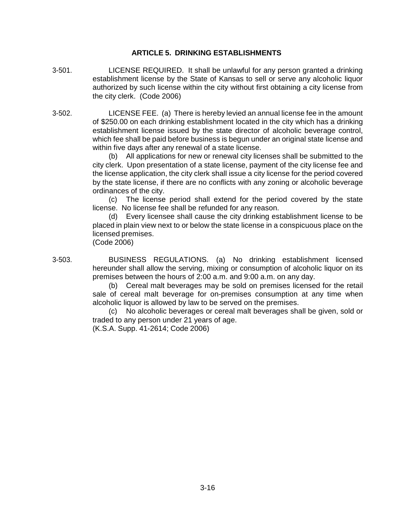### **ARTICLE 5. DRINKING ESTABLISHMENTS**

- 3-501. LICENSE REQUIRED. It shall be unlawful for any person granted a drinking establishment license by the State of Kansas to sell or serve any alcoholic liquor authorized by such license within the city without first obtaining a city license from the city clerk. (Code 2006)
- 3-502. LICENSE FEE. (a) There is hereby levied an annual license fee in the amount of \$250.00 on each drinking establishment located in the city which has a drinking establishment license issued by the state director of alcoholic beverage control, which fee shall be paid before business is begun under an original state license and within five days after any renewal of a state license.

(b) All applications for new or renewal city licenses shall be submitted to the city clerk. Upon presentation of a state license, payment of the city license fee and the license application, the city clerk shall issue a city license for the period covered by the state license, if there are no conflicts with any zoning or alcoholic beverage ordinances of the city.

(c) The license period shall extend for the period covered by the state license. No license fee shall be refunded for any reason.

(d) Every licensee shall cause the city drinking establishment license to be placed in plain view next to or below the state license in a conspicuous place on the licensed premises. (Code 2006)

3-503. BUSINESS REGULATIONS. (a) No drinking establishment licensed hereunder shall allow the serving, mixing or consumption of alcoholic liquor on its premises between the hours of 2:00 a.m. and 9:00 a.m. on any day.

(b) Cereal malt beverages may be sold on premises licensed for the retail sale of cereal malt beverage for on-premises consumption at any time when alcoholic liquor is allowed by law to be served on the premises.

(c) No alcoholic beverages or cereal malt beverages shall be given, sold or traded to any person under 21 years of age.

(K.S.A. Supp. 41-2614; Code 2006)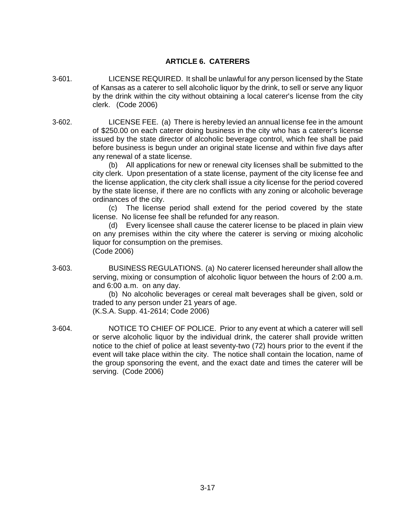# **ARTICLE 6. CATERERS**

- 3-601. LICENSE REQUIRED. It shall be unlawful for any person licensed by the State of Kansas as a caterer to sell alcoholic liquor by the drink, to sell or serve any liquor by the drink within the city without obtaining a local caterer's license from the city clerk. (Code 2006)
- 3-602. LICENSE FEE. (a) There is hereby levied an annual license fee in the amount of \$250.00 on each caterer doing business in the city who has a caterer's license issued by the state director of alcoholic beverage control, which fee shall be paid before business is begun under an original state license and within five days after any renewal of a state license.

(b) All applications for new or renewal city licenses shall be submitted to the city clerk. Upon presentation of a state license, payment of the city license fee and the license application, the city clerk shall issue a city license for the period covered by the state license, if there are no conflicts with any zoning or alcoholic beverage ordinances of the city.

(c) The license period shall extend for the period covered by the state license. No license fee shall be refunded for any reason.

(d) Every licensee shall cause the caterer license to be placed in plain view on any premises within the city where the caterer is serving or mixing alcoholic liquor for consumption on the premises. (Code 2006)

3-603. BUSINESS REGULATIONS. (a) No caterer licensed hereunder shall allow the serving, mixing or consumption of alcoholic liquor between the hours of 2:00 a.m. and 6:00 a.m. on any day.

(b) No alcoholic beverages or cereal malt beverages shall be given, sold or traded to any person under 21 years of age. (K.S.A. Supp. 41-2614; Code 2006)

3-604. NOTICE TO CHIEF OF POLICE. Prior to any event at which a caterer will sell or serve alcoholic liquor by the individual drink, the caterer shall provide written notice to the chief of police at least seventy-two (72) hours prior to the event if the event will take place within the city. The notice shall contain the location, name of the group sponsoring the event, and the exact date and times the caterer will be serving. (Code 2006)